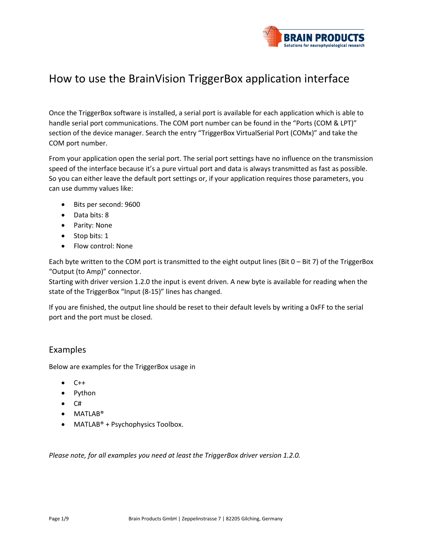

# How to use the BrainVision TriggerBox application interface

Once the TriggerBox software is installed, a serial port is available for each application which is able to handle serial port communications. The COM port number can be found in the "Ports (COM & LPT)" section of the device manager. Search the entry "TriggerBox VirtualSerial Port (COMx)" and take the COM port number.

From your application open the serial port. The serial port settings have no influence on the transmission speed of the interface because it's a pure virtual port and data is always transmitted as fast as possible. So you can either leave the default port settings or, if your application requires those parameters, you can use dummy values like:

- Bits per second: 9600
- Data bits: 8
- Parity: None
- Stop bits: 1
- Flow control: None

Each byte written to the COM port is transmitted to the eight output lines (Bit 0 – Bit 7) of the TriggerBox "Output (to Amp)" connector.

Starting with driver version 1.2.0 the input is event driven. A new byte is available for reading when the state of the TriggerBox "Input (8-15)" lines has changed.

If you are finished, the output line should be reset to their default levels by writing a 0xFF to the serial port and the port must be closed.

#### Examples

Below are examples for the TriggerBox usage in

- $C++$
- Python
- $\bullet$  C#
- MATLAB®
- MATLAB<sup>®</sup> + Psychophysics Toolbox.

*Please note, for all examples you need at least the TriggerBox driver version 1.2.0.*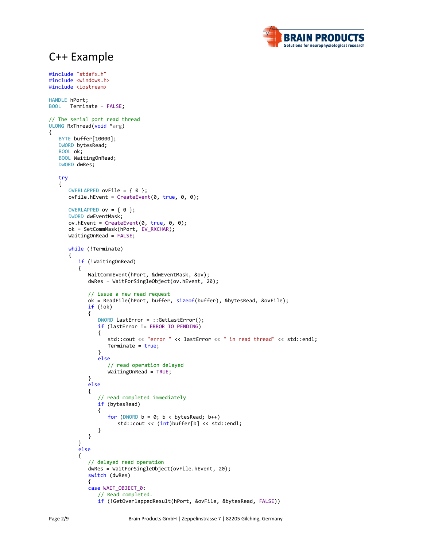## C++ Example

#include "stdafx.h" #include <windows.h> #include <iostream>

{



```
HANDLE hPort;
BOOL Terminate = FALSE;
// The serial port read thread
ULONG RxThread(void *arg)
   BYTE buffer[10000];
   DWORD bytesRead;
   BOOL ok;
   BOOL WaitingOnRead;
   DWORD dwRes;
   try
   {
      OVERLAPPED ovFile = \{ 0 \};
      ovFile.hEvent = CreateEvent(0, true, 0, 0);
      OVERLAPPED ov = { 0 };
      DWORD dwEventMask;
      ov.hEvent = CreateEvent(0, true, 0, 0);
      ok = SetCommMask(hPort, EV_RXCHAR);
      WaitingOnRead = FALSE;
      while (!Terminate)
      {
         if (!WaitingOnRead)
         {
             WaitCommEvent(hPort, &dwEventMask, &ov);
             dwRes = WaitForSingleObject(ov.hEvent, 20);
             // issue a new read request
             ok = ReadFile(hPort, buffer, sizeof(buffer), &bytesRead, &ovFile);
             if (!ok)
             {
                DWORD lastError = ::GetLastError();
                if (lastError != ERROR_IO_PENDING)
                {
                   std::cout << "error " << lastError << " in read thread" << std::endl;
                   Terminate = true;
                }
                else
                   // read operation delayed
                   WaitingOnRead = TRUE;
             }
             else
             {
                // read completed immediately
                if (bytesRead)
                {
                   for (DWORD b = 0; b < bytesRead; b++)
                       std::cout << (int)buffer[b] << std::endl;
                }
             }
         }
         else
         {
             // delayed read operation
             dwRes = WaitForSingleObject(ovFile.hEvent, 20);
             switch (dwRes)
             {
             case WAIT_OBJECT_0:
                // Read completed.
                if (!GetOverlappedResult(hPort, &ovFile, &bytesRead, FALSE))
```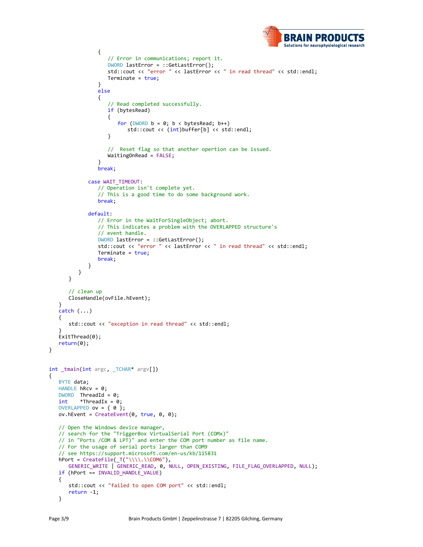

```
{
                   // Error in communications; report it.
                   DWORD lastError = ::GetLastError();
                   std::cout << "error " << lastError << " in read thread" << std::endl;
                   Terminate = true;
                }
                else
                {
                   // Read completed successfully.
                   if (bytesRead)
                   {
                       for (DWORD b = 0; b < bytesRead; b++)
                          std::cout << (int)buffer[b] << std::endl;
                   }
                   // Reset flag so that another opertion can be issued.
                   WaitingOnRead = FALSE;
                }
                break;
             case WAIT_TIMEOUT:
                // Operation isn't complete yet.
                // This is a good time to do some background work.
                break;
             default:
                // Error in the WaitForSingleObject; abort.
                // This indicates a problem with the OVERLAPPED structure's
                // event handle.
                DWORD lastError = ::GetLastError();
                std::cout << "error " << lastError << " in read thread" << std::endl;
                Terminate = true;
                break;
             }
         }
      }
      // clean up
      CloseHandle(ovFile.hEvent);
  }
  catch (...){
      std::cout << "exception in read thread" << std::endl;
  }
  ExitThread(0);
  return(0);
int _tmain(int argc, _TCHAR* argv[])
  BYTE data;
  HANDLE hRcv = 0;DWORD ThreadId = 0;<br>int *ThreadIx = 0*ThreadIx = 0;
  OVERLAPPED ov = \{ 0 \};
  ov.hEvent = CreateEvent(0, true, 0, 0);
  // Open the Windows device manager, 
   // search for the "TriggerBox VirtualSerial Port (COMx)"
   // in "Ports /COM & LPT)" and enter the COM port number as file name.
   // For the usage of serial ports larger than COM9 
   // see https://support.microsoft.com/en-us/kb/115831
  hPort = CreateFile(\_\top("\\\\\\\\COM6"),
      GENERIC_WRITE | GENERIC_READ, 0, NULL, OPEN_EXISTING, FILE_FLAG_OVERLAPPED, NULL);
  if (hPort == INVALID HANDLE VALUE)
  {
      std::cout << "failed to open COM port" << std::endl;
      return -1;
  }
```
}

{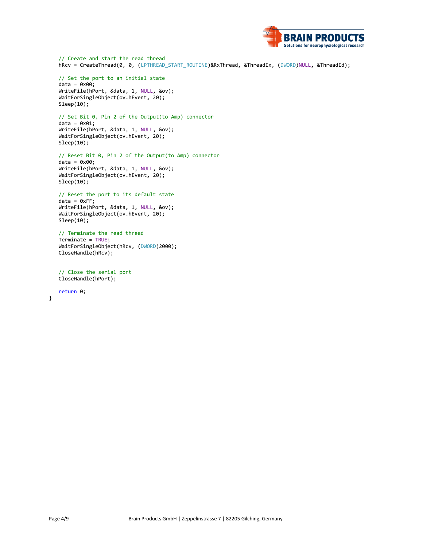

// Create and start the read thread hRcv = CreateThread(0, 0, (LPTHREAD\_START\_ROUTINE)&RxThread, &ThreadIx, (DWORD)NULL, &ThreadId);

// Set the port to an initial state  $data = 0x00;$ WriteFile(hPort, &data, 1, NULL, &ov); WaitForSingleObject(ov.hEvent, 20); Sleep(10);

// Set Bit 0, Pin 2 of the Output(to Amp) connector  $data = 0x01;$ WriteFile(hPort, &data, 1, NULL, &ov); WaitForSingleObject(ov.hEvent, 20); Sleep(10);

// Reset Bit 0, Pin 2 of the Output(to Amp) connector  $data = 0 \times 00;$ WriteFile(hPort, &data, 1, NULL, &ov); WaitForSingleObject(ov.hEvent, 20); Sleep(10);

// Reset the port to its default state  $data = 0xFF;$ WriteFile(hPort, &data, 1, NULL, &ov); WaitForSingleObject(ov.hEvent, 20); Sleep(10);

// Terminate the read thread Terminate = TRUE; WaitForSingleObject(hRcv, (DWORD)2000); CloseHandle(hRcv);

// Close the serial port CloseHandle(hPort);

return 0;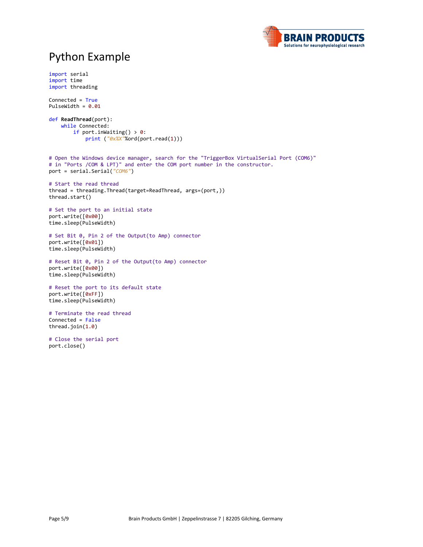

## Python Example

```
import serial
import time
import threading
Connected = True
PulseWidth = 0.01
def ReadThread(port):
     while Connected:
         if port.inWaiting() > 0:
             print ("0x%X"%ord(port.read(1)))
# Open the Windows device manager, search for the "TriggerBox VirtualSerial Port (COM6)"
# in "Ports /COM & LPT)" and enter the COM port number in the constructor.
port = serial.Serial("COM6")
# Start the read thread
thread = threading.Thread(target=ReadThread, args=(port,))
thread.start()
# Set the port to an initial state
port.write([0x00])
time.sleep(PulseWidth)
# Set Bit 0, Pin 2 of the Output(to Amp) connector
port.write([0x01])
time.sleep(PulseWidth)
# Reset Bit 0, Pin 2 of the Output(to Amp) connector
port.write([0x00])
time.sleep(PulseWidth)
# Reset the port to its default state
port.write([0xFF])
time.sleep(PulseWidth)
# Terminate the read thread
Connected = False
thread.join(1.0)
# Close the serial port
port.close()
```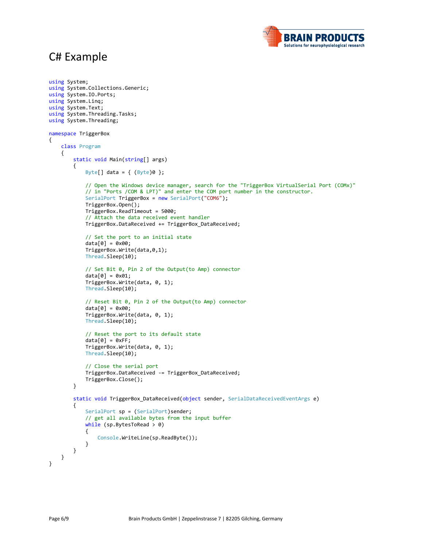## C# Example



```
using System;
using System.Collections.Generic;
using System.IO.Ports;
using System.Linq;
using System.Text;
using System.Threading.Tasks;
using System.Threading;
namespace TriggerBox
{
     class Program
     {
         static void Main(string[] args)
         {
            Byte[] data = \{ (Byte)0 \}; // Open the Windows device manager, search for the "TriggerBox VirtualSerial Port (COMx)"
             // in "Ports /COM & LPT)" and enter the COM port number in the constructor.
             SerialPort TriggerBox = new SerialPort("COM6");
             TriggerBox.Open();
             TriggerBox.ReadTimeout = 5000;
             // Attach the data received event handler
             TriggerBox.DataReceived += TriggerBox_DataReceived;
             // Set the port to an initial state
             data[0] = 0x00;
             TriggerBox.Write(data,0,1);
             Thread.Sleep(10);
             // Set Bit 0, Pin 2 of the Output(to Amp) connector
            data[0] = 0x01; TriggerBox.Write(data, 0, 1);
             Thread.Sleep(10);
             // Reset Bit 0, Pin 2 of the Output(to Amp) connector
            data[0] = 0x00; TriggerBox.Write(data, 0, 1);
             Thread.Sleep(10);
             // Reset the port to its default state
            data[0] = 0xFF; TriggerBox.Write(data, 0, 1);
             Thread.Sleep(10);
             // Close the serial port
             TriggerBox.DataReceived -= TriggerBox_DataReceived;
             TriggerBox.Close();
         }
         static void TriggerBox_DataReceived(object sender, SerialDataReceivedEventArgs e)
         {
            SerialPort sp = (SerialPort)sender;
             // get all available bytes from the input buffer
            while (sp.BytesToRead > 0)
\{ Console.WriteLine(sp.ReadByte());
 }
         }
    }
}
```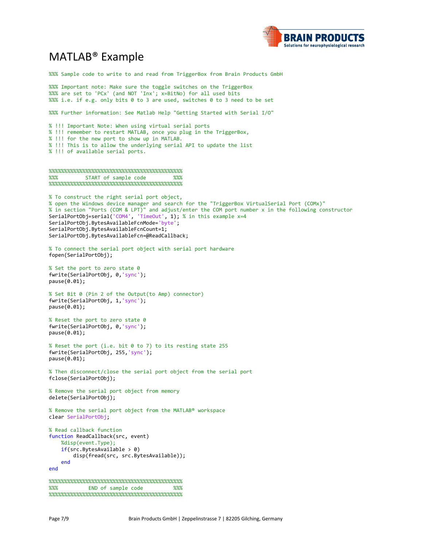

#### MATLAB® Example

%%% Sample code to write to and read from TriggerBox from Brain Products GmbH %%% Important note: Make sure the toggle switches on the TriggerBox %%% are set to 'PCx' (and NOT 'Inx'; x=BitNo) for all used bits %%% i.e. if e.g. only bits 0 to 3 are used, switches 0 to 3 need to be set %%% Further information: See Matlab Help "Getting Started with Serial I/O" % !!! Important Note: When using virtual serial ports % !!! remember to restart MATLAB, once you plug in the TriggerBox, % !!! for the new port to show up in MATLAB. % !!! This is to allow the underlying serial API to update the list % !!! of available serial ports. %%%%%%%%%%%%%%%%%%%%%%%%%%%%%%%%%%%%%%%%%%%% %%% START of sample code %%% %%%%%%%%%%%%%%%%%%%%%%%%%%%%%%%%%%%%%%%%%%%% % To construct the right serial port object, % open the Windows device manager and search for the "TriggerBox VirtualSerial Port (COMx)" % in section "Ports (COM & LPT)" and adjust/enter the COM port number x in the following constructor SerialPortObj=serial('COM4', 'TimeOut', 1); % in this example x=4 SerialPortObj.BytesAvailableFcnMode='byte'; SerialPortObj.BytesAvailableFcnCount=1; SerialPortObj.BytesAvailableFcn=@ReadCallback; % To connect the serial port object with serial port hardware fopen(SerialPortObj); % Set the port to zero state 0 fwrite(SerialPortObj, 0,'sync'); pause(0.01); % Set Bit 0 (Pin 2 of the Output(to Amp) connector) fwrite(SerialPortObj, 1,'sync'); pause(0.01); % Reset the port to zero state 0 fwrite(SerialPortObj, 0,'sync'); pause(0.01); % Reset the port (i.e. bit 0 to 7) to its resting state 255 fwrite(SerialPortObj, 255,'sync'); pause(0.01); % Then disconnect/close the serial port object from the serial port fclose(SerialPortObj); % Remove the serial port object from memory delete(SerialPortObj); % Remove the serial port object from the MATLAB® workspace clear SerialPortObj; % Read callback function function ReadCallback(src, event) %disp(event.Type);  $if(src.BytesAvailable > 0)$  disp(fread(src, src.BytesAvailable)); end end %%%%%%%%%%%%%%%%%%%%%%%%%%%%%%%%%%%%%%%%%%%% %%% END of sample code %%% %%%%%%%%%%%%%%%%%%%%%%%%%%%%%%%%%%%%%%%%%%%%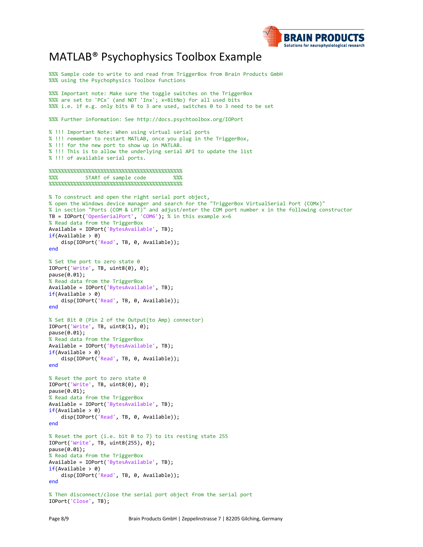

#### MATLAB® Psychophysics Toolbox Example

%%% Sample code to write to and read from TriggerBox from Brain Products GmbH %%% using the Psychophysics Toolbox functions %%% Important note: Make sure the toggle switches on the TriggerBox %%% are set to 'PCx' (and NOT 'Inx'; x=BitNo) for all used bits %%% i.e. if e.g. only bits 0 to 3 are used, switches 0 to 3 need to be set %%% Further information: See http://docs.psychtoolbox.org/IOPort % !!! Important Note: When using virtual serial ports % !!! remember to restart MATLAB, once you plug in the TriggerBox, % !!! for the new port to show up in MATLAB. % !!! This is to allow the underlying serial API to update the list % !!! of available serial ports. %%%%%%%%%%%%%%%%%%%%%%%%%%%%%%%%%%%%%%%%%%%% START of sample code %%%%%%%%%%%%%%%%%%%%%%%%%%%%%%%%%%%%%%%%%%%% % To construct and open the right serial port object, % open the Windows device manager and search for the "TriggerBox VirtualSerial Port (COMx)" % in section "Ports (COM & LPT)" and adjust/enter the COM port number x in the following constructor TB = IOPort('OpenSerialPort', 'COM6'); % in this example x=6 % Read data from the TriggerBox Available = IOPort('BytesAvailable', TB);  $if(Available > 0)$  disp(IOPort('Read', TB, 0, Available)); end % Set the port to zero state 0 IOPort('Write', TB, uint8(0), 0); pause(0.01); % Read data from the TriggerBox Available = IOPort('BytesAvailable', TB);  $if(Available > 0)$ disp(IOPort('Read', TB, 0, Available)); end % Set Bit 0 (Pin 2 of the Output(to Amp) connector) IOPort('Write', TB, uint8(1), 0); pause(0.01); % Read data from the TriggerBox Available = IOPort('BytesAvailable', TB);  $if(Available > 0)$  disp(IOPort('Read', TB, 0, Available)); end % Reset the port to zero state 0 IOPort('Write', TB, uint8(0), 0); pause(0.01); % Read data from the TriggerBox Available = IOPort('BytesAvailable', TB);  $if(Available > 0)$  disp(IOPort('Read', TB, 0, Available)); end % Reset the port (i.e. bit 0 to 7) to its resting state 255 IOPort('Write', TB, uint8(255), 0); pause(0.01); % Read data from the TriggerBox Available = IOPort('BytesAvailable', TB);  $if(Available > 0)$  disp(IOPort('Read', TB, 0, Available)); end % Then disconnect/close the serial port object from the serial port IOPort('Close', TB);